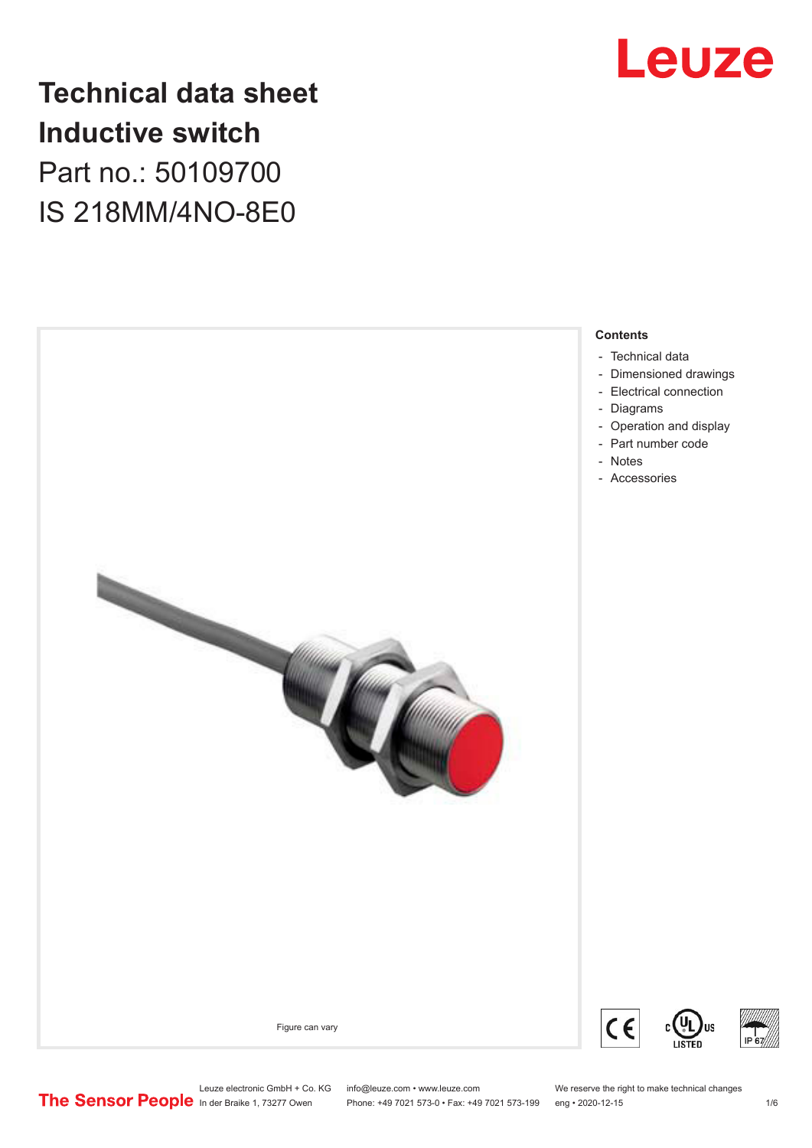

## **Technical data sheet Inductive switch** Part no.: 50109700 IS 218MM/4NO-8E0



Leuze electronic GmbH + Co. KG info@leuze.com • www.leuze.com We reserve the right to make technical changes<br>
The Sensor People in der Braike 1, 73277 Owen Phone: +49 7021 573-0 • Fax: +49 7021 573-199 eng • 2020-12-15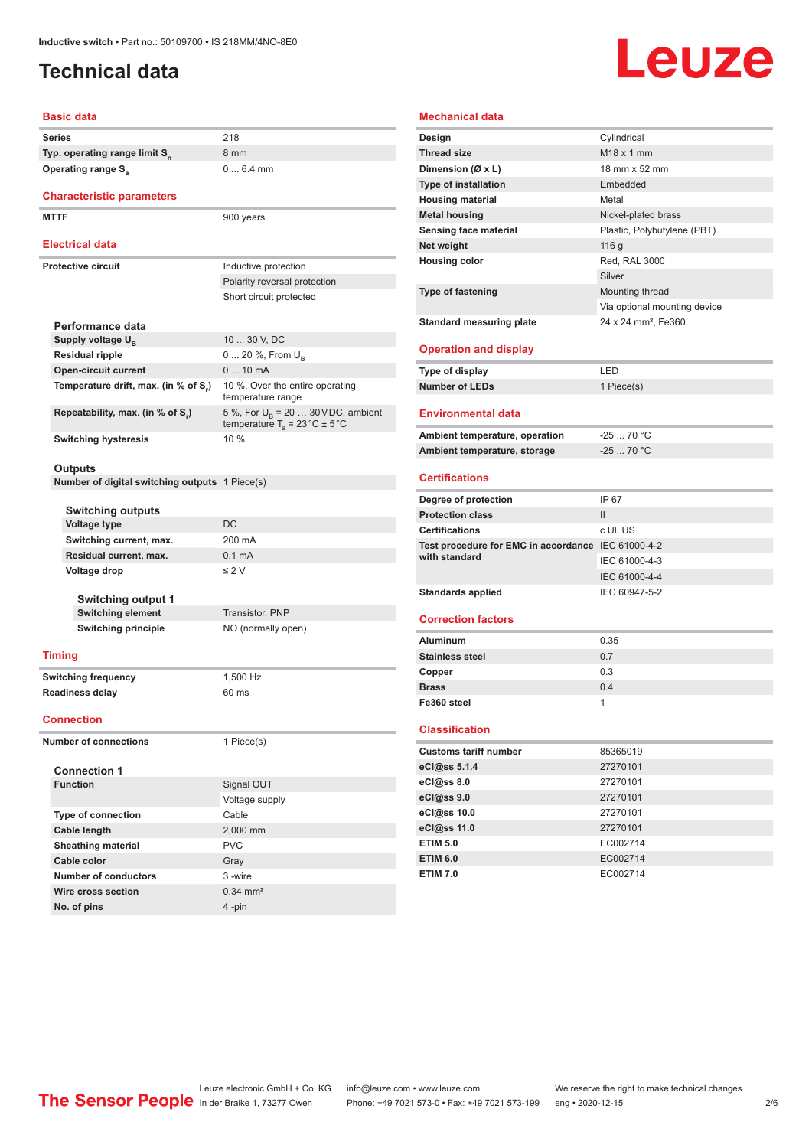### <span id="page-1-0"></span>**Technical data**

# Leuze

#### **Basic data**

| Dasit uata                                            |                                                                                          |  |
|-------------------------------------------------------|------------------------------------------------------------------------------------------|--|
| Series                                                | 218                                                                                      |  |
| Typ. operating range limit S <sub>n</sub>             | 8 mm                                                                                     |  |
| Operating range S <sub>a</sub>                        | $06.4$ mm                                                                                |  |
| <b>Characteristic parameters</b>                      |                                                                                          |  |
| <b>MTTF</b>                                           | 900 years                                                                                |  |
|                                                       |                                                                                          |  |
| Electrical data                                       |                                                                                          |  |
| <b>Protective circuit</b>                             | Inductive protection                                                                     |  |
|                                                       | Polarity reversal protection                                                             |  |
|                                                       | Short circuit protected                                                                  |  |
|                                                       |                                                                                          |  |
| Performance data                                      |                                                                                          |  |
| Supply voltage U <sub>B</sub>                         | 10  30 V, DC                                                                             |  |
| <b>Residual ripple</b>                                | 0  20 %, From $U_{B}$                                                                    |  |
| <b>Open-circuit current</b>                           | $010$ mA                                                                                 |  |
| Temperature drift, max. (in % of S <sub>r</sub> )     | 10 %, Over the entire operating<br>temperature range                                     |  |
| Repeatability, max. (in % of S.)                      | 5 %, For $U_R$ = 20  30 VDC, ambient<br>temperature $T_a = 23 \degree C \pm 5 \degree C$ |  |
| <b>Switching hysteresis</b>                           | 10 %                                                                                     |  |
|                                                       |                                                                                          |  |
| Outputs                                               |                                                                                          |  |
| <b>Number of digital switching outputs</b> 1 Piece(s) |                                                                                          |  |
|                                                       |                                                                                          |  |
| <b>Switching outputs</b><br><b>Voltage type</b>       | DC                                                                                       |  |
| Switching current, max.                               | 200 mA                                                                                   |  |
| Residual current, max.                                | 0.1 <sub>m</sub> A                                                                       |  |
| Voltage drop                                          | $\leq 2$ V                                                                               |  |
|                                                       |                                                                                          |  |
| <b>Switching output 1</b>                             |                                                                                          |  |
| <b>Switching element</b>                              | Transistor, PNP                                                                          |  |
| <b>Switching principle</b>                            | NO (normally open)                                                                       |  |
|                                                       |                                                                                          |  |
| <b>Timing</b>                                         |                                                                                          |  |
| <b>Switching frequency</b>                            | 1,500 Hz                                                                                 |  |
| <b>Readiness delay</b>                                | 60 ms                                                                                    |  |
|                                                       |                                                                                          |  |
| Connection                                            |                                                                                          |  |
| <b>Number of connections</b>                          | 1 Piece(s)                                                                               |  |
|                                                       |                                                                                          |  |
| <b>Connection 1</b>                                   |                                                                                          |  |
| <b>Function</b>                                       | Signal OUT                                                                               |  |
|                                                       | Voltage supply                                                                           |  |
| Type of connection                                    | Cable                                                                                    |  |
| Cable length                                          | 2,000 mm                                                                                 |  |
| Sheathing material                                    | <b>PVC</b>                                                                               |  |
| Cable color                                           | Gray                                                                                     |  |
| <b>Number of conductors</b>                           | 3-wire                                                                                   |  |

| <b>Mechanical data</b>                             |                                 |
|----------------------------------------------------|---------------------------------|
| Design                                             | Cylindrical                     |
| <b>Thread size</b>                                 | M <sub>18</sub> x 1 mm          |
| Dimension (Ø x L)                                  | 18 mm x 52 mm                   |
| <b>Type of installation</b>                        | Embedded                        |
| <b>Housing material</b>                            | Metal                           |
| <b>Metal housing</b>                               | Nickel-plated brass             |
| Sensing face material                              | Plastic, Polybutylene (PBT)     |
| Net weight                                         | 116 g                           |
| <b>Housing color</b>                               | <b>Red. RAL 3000</b>            |
|                                                    | Silver                          |
| <b>Type of fastening</b>                           | Mounting thread                 |
|                                                    | Via optional mounting device    |
| <b>Standard measuring plate</b>                    | 24 x 24 mm <sup>2</sup> , Fe360 |
|                                                    |                                 |
| <b>Operation and display</b>                       |                                 |
| <b>Type of display</b>                             | LED                             |
| <b>Number of LEDs</b>                              | 1 Piece(s)                      |
|                                                    |                                 |
| <b>Environmental data</b>                          |                                 |
| Ambient temperature, operation                     | $-25$ 70 °C                     |
| Ambient temperature, storage                       | $-2570 °C$                      |
|                                                    |                                 |
| <b>Certifications</b>                              |                                 |
|                                                    |                                 |
| Degree of protection                               | IP 67                           |
| <b>Protection class</b>                            | $\mathsf{II}$                   |
| <b>Certifications</b>                              | c UL US                         |
| Test procedure for EMC in accordance IEC 61000-4-2 |                                 |
| with standard                                      | IEC 61000-4-3                   |
|                                                    | IEC 61000-4-4                   |
| <b>Standards applied</b>                           | IEC 60947-5-2                   |
|                                                    |                                 |
| <b>Correction factors</b>                          |                                 |
| <b>Aluminum</b>                                    | 0.35                            |
| <b>Stainless steel</b>                             | 0.7                             |
| Copper                                             | 0.3                             |
| <b>Brass</b>                                       | 0.4                             |
| Fe360 steel                                        | 1                               |
|                                                    |                                 |
| <b>Classification</b>                              |                                 |
| <b>Customs tariff number</b>                       | 85365019                        |
| eCl@ss 5.1.4                                       | 27270101                        |
| eCl@ss 8.0                                         | 27270101                        |
| eCl@ss 9.0                                         | 27270101                        |
| eCl@ss 10.0                                        | 27270101                        |
| eCl@ss 11.0                                        | 27270101                        |
| <b>ETIM 5.0</b>                                    | EC002714                        |

**ETIM 7.0** EC002714

**Wire cross section** 0.34 mm<sup>2</sup> **No. of pins** 4 -pin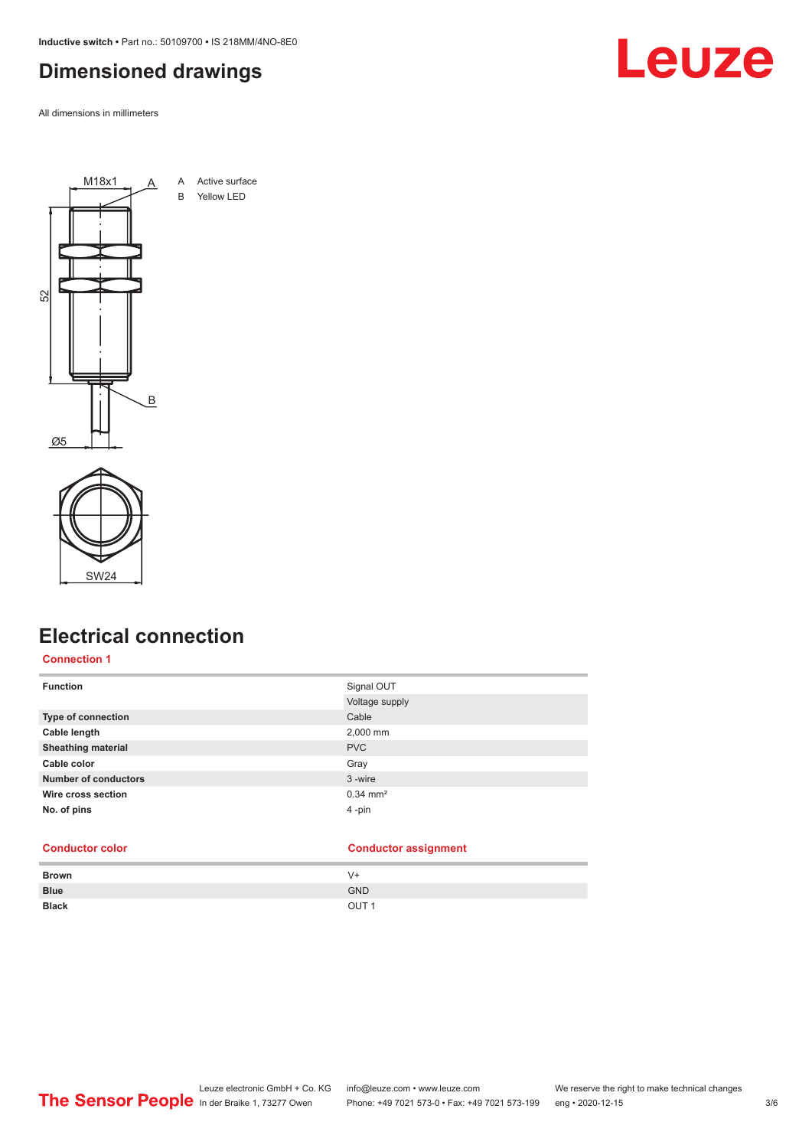<span id="page-2-0"></span>**Inductive switch •** Part no.: 50109700 **•** IS 218MM/4NO-8E0

### **Dimensioned drawings**

All dimensions in millimeters







### **Electrical connection**

#### **Connection 1**

| Signal OUT            |
|-----------------------|
| Voltage supply        |
|                       |
| 2,000 mm              |
|                       |
|                       |
|                       |
| $0.34 \, \text{mm}^2$ |
|                       |
|                       |

#### **Conductor color Conductor assignment**

| <b>Brown</b> | V+               |
|--------------|------------------|
| <b>Blue</b>  | <b>GND</b>       |
| <b>Black</b> | OUT <sub>1</sub> |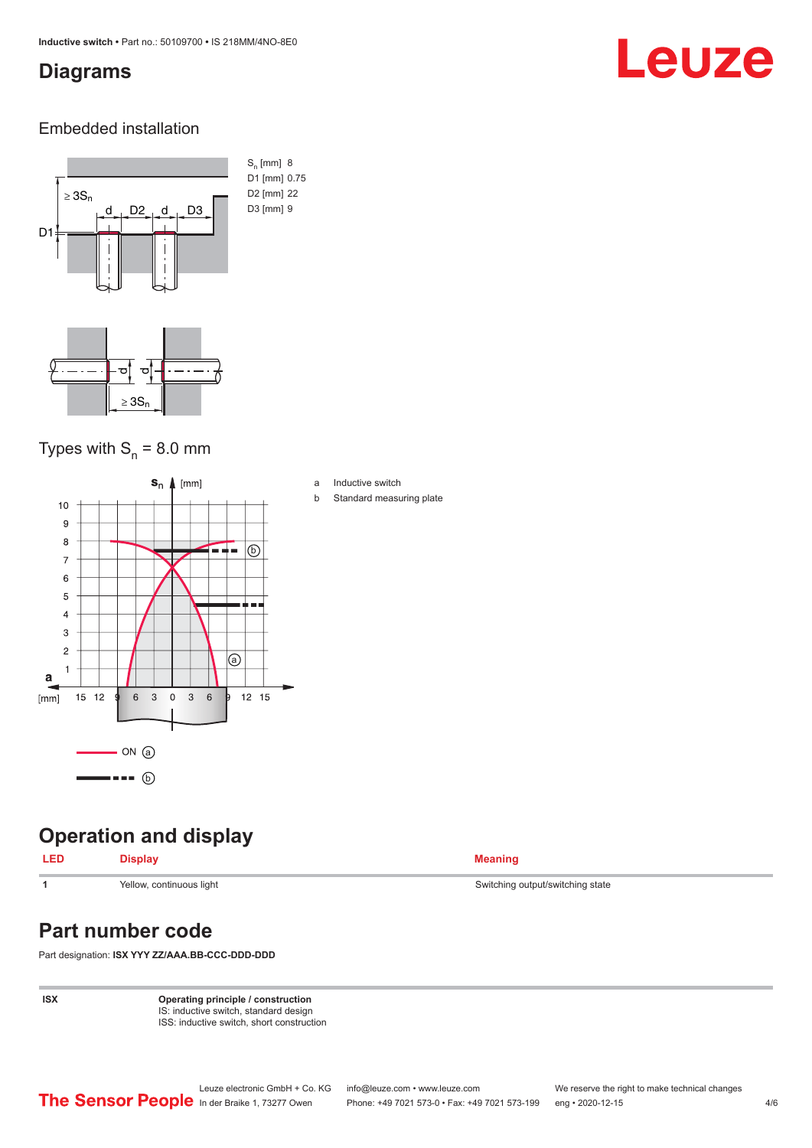#### <span id="page-3-0"></span>**Diagrams**

## Leuze

#### Embedded installation



#### Types with  $S_{n}$  = 8.0 mm



### **Operation and display**

#### **LED Display Meaning**

**Part number code**

Part designation: **ISX YYY ZZ/AAA.BB-CCC-DDD-DDD**

**ISX Operating principle / construction** IS: inductive switch, standard design ISS: inductive switch, short construction

**1** Yellow, continuous light Switching state Switching output/switching state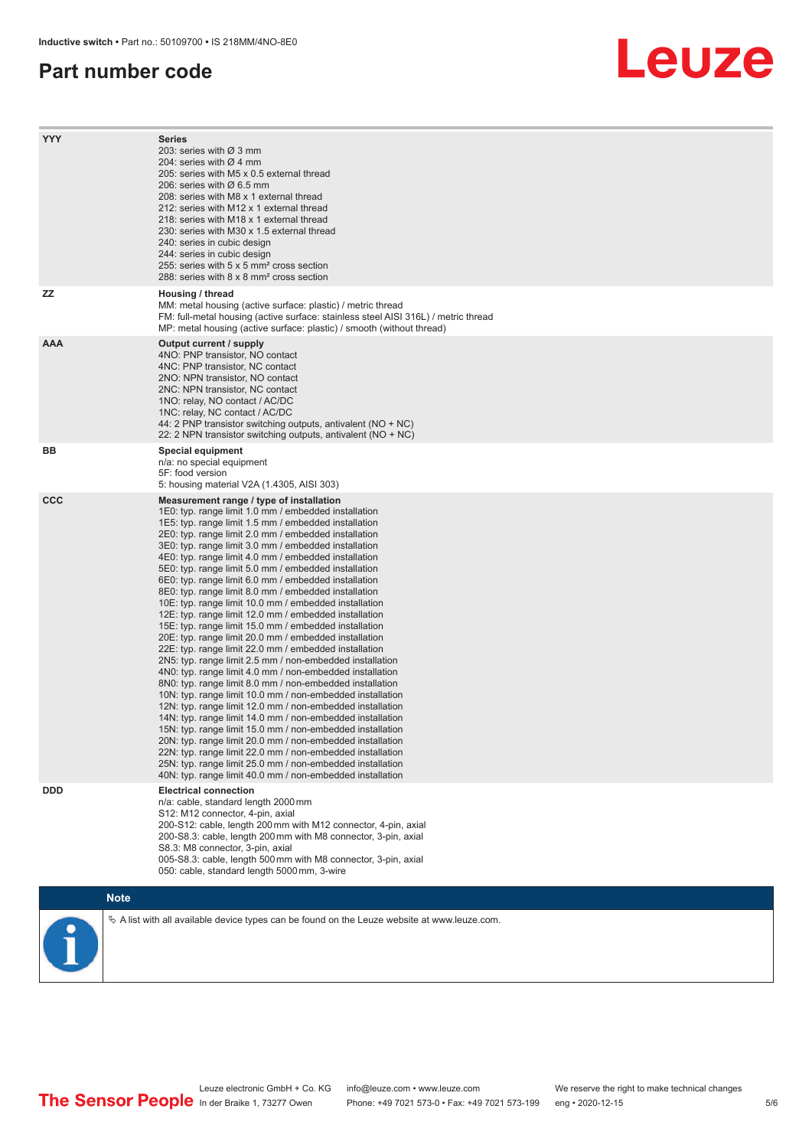#### **Part number code**

## Leuze

| <b>YYY</b> | Series<br>203: series with Ø 3 mm<br>204: series with $\varnothing$ 4 mm<br>205: series with M5 x 0.5 external thread<br>206: series with Ø 6.5 mm<br>208: series with M8 x 1 external thread<br>212: series with M12 x 1 external thread                                                                                                                                                                                                                                                                                                                                                                                                                                                                                                                                                                                                                                                                                                                                                                                                                                                                                                                                                                                                                                                                                                                                                                                                                                                         |
|------------|---------------------------------------------------------------------------------------------------------------------------------------------------------------------------------------------------------------------------------------------------------------------------------------------------------------------------------------------------------------------------------------------------------------------------------------------------------------------------------------------------------------------------------------------------------------------------------------------------------------------------------------------------------------------------------------------------------------------------------------------------------------------------------------------------------------------------------------------------------------------------------------------------------------------------------------------------------------------------------------------------------------------------------------------------------------------------------------------------------------------------------------------------------------------------------------------------------------------------------------------------------------------------------------------------------------------------------------------------------------------------------------------------------------------------------------------------------------------------------------------------|
|            | 218: series with M18 x 1 external thread<br>230: series with M30 x 1.5 external thread<br>240: series in cubic design<br>244: series in cubic design<br>255: series with 5 x 5 mm <sup>2</sup> cross section<br>288: series with 8 x 8 mm <sup>2</sup> cross section                                                                                                                                                                                                                                                                                                                                                                                                                                                                                                                                                                                                                                                                                                                                                                                                                                                                                                                                                                                                                                                                                                                                                                                                                              |
| ZZ         | Housing / thread<br>MM: metal housing (active surface: plastic) / metric thread<br>FM: full-metal housing (active surface: stainless steel AISI 316L) / metric thread<br>MP: metal housing (active surface: plastic) / smooth (without thread)                                                                                                                                                                                                                                                                                                                                                                                                                                                                                                                                                                                                                                                                                                                                                                                                                                                                                                                                                                                                                                                                                                                                                                                                                                                    |
| <b>AAA</b> | Output current / supply<br>4NO: PNP transistor, NO contact<br>4NC: PNP transistor, NC contact<br>2NO: NPN transistor, NO contact<br>2NC: NPN transistor, NC contact<br>1NO: relay, NO contact / AC/DC<br>1NC: relay, NC contact / AC/DC<br>44: 2 PNP transistor switching outputs, antivalent (NO + NC)<br>22: 2 NPN transistor switching outputs, antivalent (NO + NC)                                                                                                                                                                                                                                                                                                                                                                                                                                                                                                                                                                                                                                                                                                                                                                                                                                                                                                                                                                                                                                                                                                                           |
| BB         | <b>Special equipment</b><br>n/a: no special equipment<br>5F: food version<br>5: housing material V2A (1.4305, AISI 303)                                                                                                                                                                                                                                                                                                                                                                                                                                                                                                                                                                                                                                                                                                                                                                                                                                                                                                                                                                                                                                                                                                                                                                                                                                                                                                                                                                           |
| <b>CCC</b> | Measurement range / type of installation<br>1E0: typ. range limit 1.0 mm / embedded installation<br>1E5: typ. range limit 1.5 mm / embedded installation<br>2E0: typ. range limit 2.0 mm / embedded installation<br>3E0: typ. range limit 3.0 mm / embedded installation<br>4E0: typ. range limit 4.0 mm / embedded installation<br>5E0: typ. range limit 5.0 mm / embedded installation<br>6E0: typ. range limit 6.0 mm / embedded installation<br>8E0: typ. range limit 8.0 mm / embedded installation<br>10E: typ. range limit 10.0 mm / embedded installation<br>12E: typ. range limit 12.0 mm / embedded installation<br>15E: typ. range limit 15.0 mm / embedded installation<br>20E: typ. range limit 20.0 mm / embedded installation<br>22E: typ. range limit 22.0 mm / embedded installation<br>2N5: typ. range limit 2.5 mm / non-embedded installation<br>4N0: typ. range limit 4.0 mm / non-embedded installation<br>8N0: typ. range limit 8.0 mm / non-embedded installation<br>10N: typ. range limit 10.0 mm / non-embedded installation<br>12N: typ. range limit 12.0 mm / non-embedded installation<br>14N: typ. range limit 14.0 mm / non-embedded installation<br>15N: typ. range limit 15.0 mm / non-embedded installation<br>20N: typ. range limit 20.0 mm / non-embedded installation<br>22N: typ. range limit 22.0 mm / non-embedded installation<br>25N: typ. range limit 25.0 mm / non-embedded installation<br>40N: typ. range limit 40.0 mm / non-embedded installation |
| <b>DDD</b> | <b>Electrical connection</b><br>n/a: cable, standard length 2000 mm<br>S12: M12 connector, 4-pin, axial<br>200-S12: cable, length 200 mm with M12 connector, 4-pin, axial<br>200-S8.3: cable, length 200 mm with M8 connector, 3-pin, axial<br>S8.3: M8 connector, 3-pin, axial<br>005-S8.3: cable, length 500 mm with M8 connector, 3-pin, axial<br>050: cable, standard length 5000 mm, 3-wire                                                                                                                                                                                                                                                                                                                                                                                                                                                                                                                                                                                                                                                                                                                                                                                                                                                                                                                                                                                                                                                                                                  |
|            | <b>Note</b>                                                                                                                                                                                                                                                                                                                                                                                                                                                                                                                                                                                                                                                                                                                                                                                                                                                                                                                                                                                                                                                                                                                                                                                                                                                                                                                                                                                                                                                                                       |
|            | $\&$ A list with all available device types can be found on the Leuze website at www.leuze.com.                                                                                                                                                                                                                                                                                                                                                                                                                                                                                                                                                                                                                                                                                                                                                                                                                                                                                                                                                                                                                                                                                                                                                                                                                                                                                                                                                                                                   |